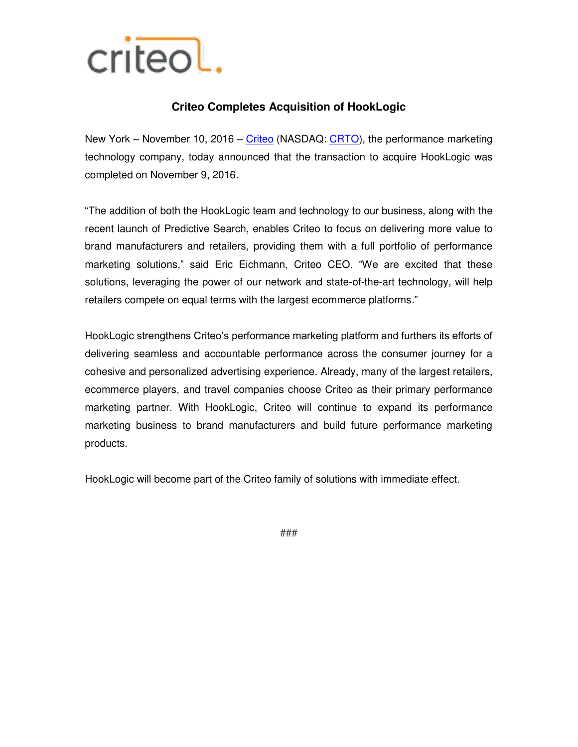

## **Criteo Completes Acquisition of HookLogic**

New York – November 10, 2016 – [Criteo](http://www.criteo.com/) (NASDAQ: [CRTO\)](https://www.google.com/finance?cid=281026445686504), the performance marketing technology company, today announced that the transaction to acquire HookLogic was completed on November 9, 2016.

"The addition of both the HookLogic team and technology to our business, along with the recent launch of Predictive Search, enables Criteo to focus on delivering more value to brand manufacturers and retailers, providing them with a full portfolio of performance marketing solutions," said Eric Eichmann, Criteo CEO. "We are excited that these solutions, leveraging the power of our network and state-of-the-art technology, will help retailers compete on equal terms with the largest ecommerce platforms."

HookLogic strengthens Criteo's performance marketing platform and furthers its efforts of delivering seamless and accountable performance across the consumer journey for a cohesive and personalized advertising experience. Already, many of the largest retailers, ecommerce players, and travel companies choose Criteo as their primary performance marketing partner. With HookLogic, Criteo will continue to expand its performance marketing business to brand manufacturers and build future performance marketing products.

HookLogic will become part of the Criteo family of solutions with immediate effect.

###